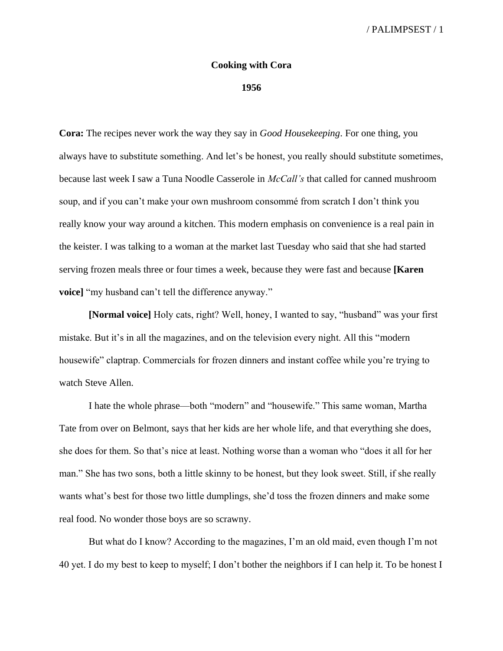## **Cooking with Cora**

## **1956**

**Cora:** The recipes never work the way they say in *Good Housekeeping*. For one thing, you always have to substitute something. And let's be honest, you really should substitute sometimes, because last week I saw a Tuna Noodle Casserole in *McCall's* that called for canned mushroom soup, and if you can't make your own mushroom consommé from scratch I don't think you really know your way around a kitchen. This modern emphasis on convenience is a real pain in the keister. I was talking to a woman at the market last Tuesday who said that she had started serving frozen meals three or four times a week, because they were fast and because **[Karen voice]** "my husband can't tell the difference anyway."

**[Normal voice]** Holy cats, right? Well, honey, I wanted to say, "husband" was your first mistake. But it's in all the magazines, and on the television every night. All this "modern housewife" claptrap. Commercials for frozen dinners and instant coffee while you're trying to watch Steve Allen.

I hate the whole phrase—both "modern" and "housewife." This same woman, Martha Tate from over on Belmont, says that her kids are her whole life, and that everything she does, she does for them. So that's nice at least. Nothing worse than a woman who "does it all for her man." She has two sons, both a little skinny to be honest, but they look sweet. Still, if she really wants what's best for those two little dumplings, she'd toss the frozen dinners and make some real food. No wonder those boys are so scrawny.

But what do I know? According to the magazines, I'm an old maid, even though I'm not 40 yet. I do my best to keep to myself; I don't bother the neighbors if I can help it. To be honest I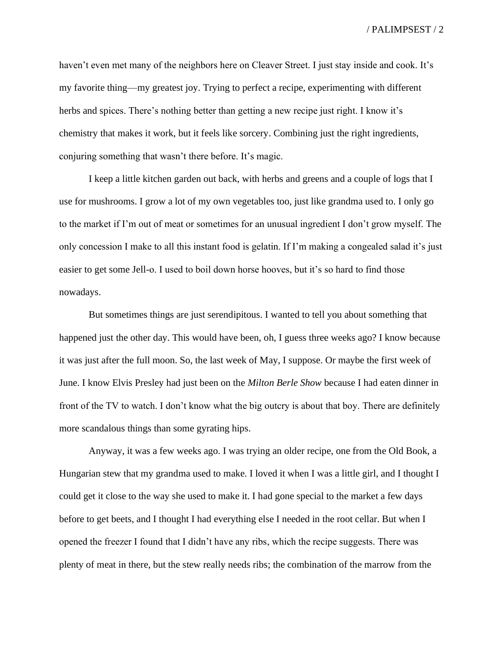haven't even met many of the neighbors here on Cleaver Street. I just stay inside and cook. It's my favorite thing—my greatest joy. Trying to perfect a recipe, experimenting with different herbs and spices. There's nothing better than getting a new recipe just right. I know it's chemistry that makes it work, but it feels like sorcery. Combining just the right ingredients, conjuring something that wasn't there before. It's magic.

I keep a little kitchen garden out back, with herbs and greens and a couple of logs that I use for mushrooms. I grow a lot of my own vegetables too, just like grandma used to. I only go to the market if I'm out of meat or sometimes for an unusual ingredient I don't grow myself. The only concession I make to all this instant food is gelatin. If I'm making a congealed salad it's just easier to get some Jell-o. I used to boil down horse hooves, but it's so hard to find those nowadays.

But sometimes things are just serendipitous. I wanted to tell you about something that happened just the other day. This would have been, oh, I guess three weeks ago? I know because it was just after the full moon. So, the last week of May, I suppose. Or maybe the first week of June. I know Elvis Presley had just been on the *Milton Berle Show* because I had eaten dinner in front of the TV to watch. I don't know what the big outcry is about that boy. There are definitely more scandalous things than some gyrating hips.

Anyway, it was a few weeks ago. I was trying an older recipe, one from the Old Book, a Hungarian stew that my grandma used to make. I loved it when I was a little girl, and I thought I could get it close to the way she used to make it. I had gone special to the market a few days before to get beets, and I thought I had everything else I needed in the root cellar. But when I opened the freezer I found that I didn't have any ribs, which the recipe suggests. There was plenty of meat in there, but the stew really needs ribs; the combination of the marrow from the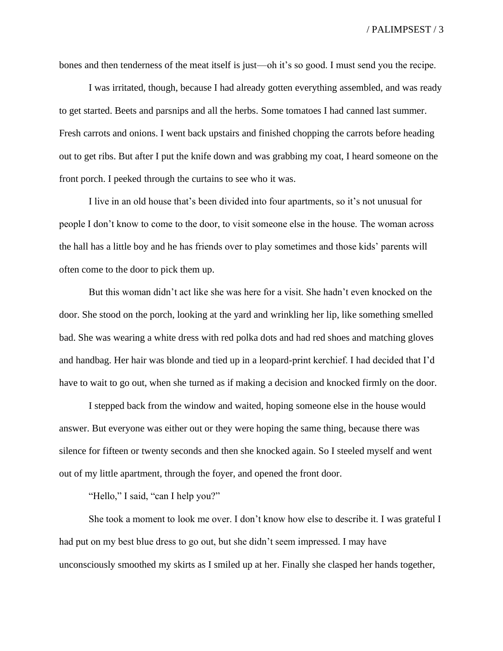bones and then tenderness of the meat itself is just—oh it's so good. I must send you the recipe.

I was irritated, though, because I had already gotten everything assembled, and was ready to get started. Beets and parsnips and all the herbs. Some tomatoes I had canned last summer. Fresh carrots and onions. I went back upstairs and finished chopping the carrots before heading out to get ribs. But after I put the knife down and was grabbing my coat, I heard someone on the front porch. I peeked through the curtains to see who it was.

I live in an old house that's been divided into four apartments, so it's not unusual for people I don't know to come to the door, to visit someone else in the house. The woman across the hall has a little boy and he has friends over to play sometimes and those kids' parents will often come to the door to pick them up.

But this woman didn't act like she was here for a visit. She hadn't even knocked on the door. She stood on the porch, looking at the yard and wrinkling her lip, like something smelled bad. She was wearing a white dress with red polka dots and had red shoes and matching gloves and handbag. Her hair was blonde and tied up in a leopard-print kerchief. I had decided that I'd have to wait to go out, when she turned as if making a decision and knocked firmly on the door.

I stepped back from the window and waited, hoping someone else in the house would answer. But everyone was either out or they were hoping the same thing, because there was silence for fifteen or twenty seconds and then she knocked again. So I steeled myself and went out of my little apartment, through the foyer, and opened the front door.

"Hello," I said, "can I help you?"

She took a moment to look me over. I don't know how else to describe it. I was grateful I had put on my best blue dress to go out, but she didn't seem impressed. I may have unconsciously smoothed my skirts as I smiled up at her. Finally she clasped her hands together,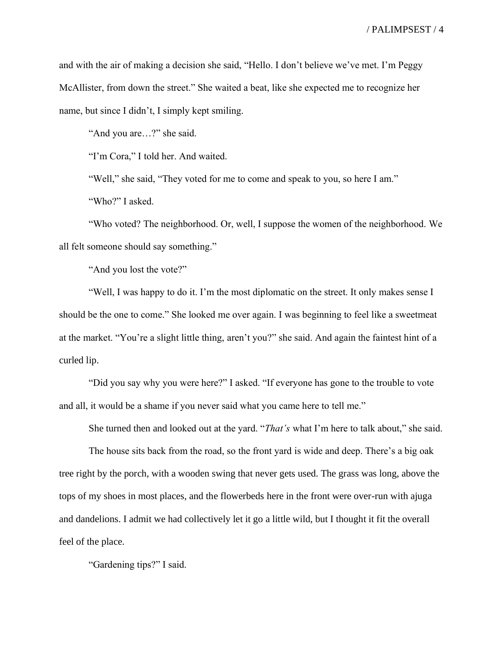and with the air of making a decision she said, "Hello. I don't believe we've met. I'm Peggy McAllister, from down the street." She waited a beat, like she expected me to recognize her name, but since I didn't, I simply kept smiling.

"And you are…?" she said.

"I'm Cora," I told her. And waited.

"Well," she said, "They voted for me to come and speak to you, so here I am."

"Who?" I asked.

"Who voted? The neighborhood. Or, well, I suppose the women of the neighborhood. We all felt someone should say something."

"And you lost the vote?"

"Well, I was happy to do it. I'm the most diplomatic on the street. It only makes sense I should be the one to come." She looked me over again. I was beginning to feel like a sweetmeat at the market. "You're a slight little thing, aren't you?" she said. And again the faintest hint of a curled lip.

"Did you say why you were here?" I asked. "If everyone has gone to the trouble to vote and all, it would be a shame if you never said what you came here to tell me."

She turned then and looked out at the yard. "*That's* what I'm here to talk about," she said.

The house sits back from the road, so the front yard is wide and deep. There's a big oak tree right by the porch, with a wooden swing that never gets used. The grass was long, above the tops of my shoes in most places, and the flowerbeds here in the front were over-run with ajuga and dandelions. I admit we had collectively let it go a little wild, but I thought it fit the overall feel of the place.

"Gardening tips?" I said.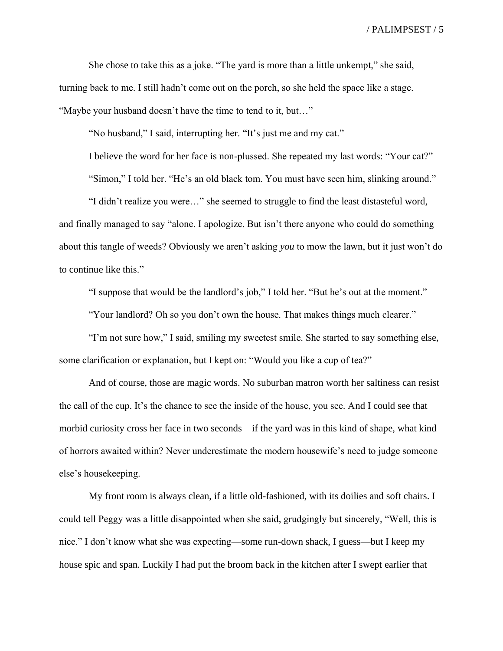She chose to take this as a joke. "The yard is more than a little unkempt," she said, turning back to me. I still hadn't come out on the porch, so she held the space like a stage. "Maybe your husband doesn't have the time to tend to it, but…"

"No husband," I said, interrupting her. "It's just me and my cat."

I believe the word for her face is non-plussed. She repeated my last words: "Your cat?"

"Simon," I told her. "He's an old black tom. You must have seen him, slinking around."

"I didn't realize you were…" she seemed to struggle to find the least distasteful word, and finally managed to say "alone. I apologize. But isn't there anyone who could do something about this tangle of weeds? Obviously we aren't asking *you* to mow the lawn, but it just won't do to continue like this."

"I suppose that would be the landlord's job," I told her. "But he's out at the moment."

"Your landlord? Oh so you don't own the house. That makes things much clearer."

"I'm not sure how," I said, smiling my sweetest smile. She started to say something else, some clarification or explanation, but I kept on: "Would you like a cup of tea?"

And of course, those are magic words. No suburban matron worth her saltiness can resist the call of the cup. It's the chance to see the inside of the house, you see. And I could see that morbid curiosity cross her face in two seconds—if the yard was in this kind of shape, what kind of horrors awaited within? Never underestimate the modern housewife's need to judge someone else's housekeeping.

My front room is always clean, if a little old-fashioned, with its doilies and soft chairs. I could tell Peggy was a little disappointed when she said, grudgingly but sincerely, "Well, this is nice." I don't know what she was expecting—some run-down shack, I guess—but I keep my house spic and span. Luckily I had put the broom back in the kitchen after I swept earlier that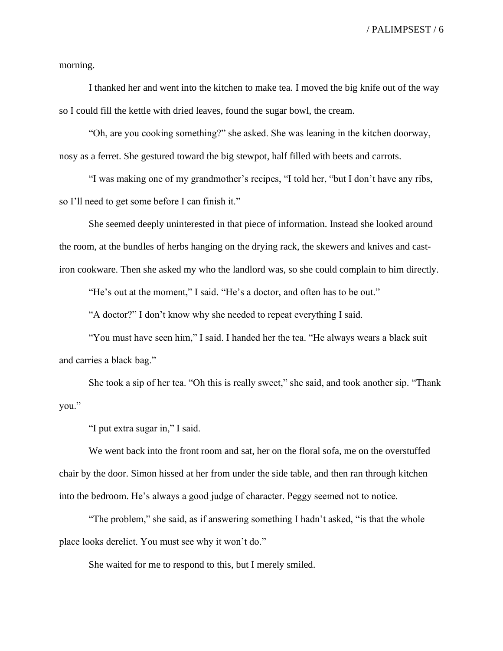morning.

I thanked her and went into the kitchen to make tea. I moved the big knife out of the way so I could fill the kettle with dried leaves, found the sugar bowl, the cream.

"Oh, are you cooking something?" she asked. She was leaning in the kitchen doorway, nosy as a ferret. She gestured toward the big stewpot, half filled with beets and carrots.

"I was making one of my grandmother's recipes, "I told her, "but I don't have any ribs, so I'll need to get some before I can finish it."

She seemed deeply uninterested in that piece of information. Instead she looked around the room, at the bundles of herbs hanging on the drying rack, the skewers and knives and castiron cookware. Then she asked my who the landlord was, so she could complain to him directly.

"He's out at the moment," I said. "He's a doctor, and often has to be out."

"A doctor?" I don't know why she needed to repeat everything I said.

"You must have seen him," I said. I handed her the tea. "He always wears a black suit and carries a black bag."

She took a sip of her tea. "Oh this is really sweet," she said, and took another sip. "Thank you."

"I put extra sugar in," I said.

We went back into the front room and sat, her on the floral sofa, me on the overstuffed chair by the door. Simon hissed at her from under the side table, and then ran through kitchen into the bedroom. He's always a good judge of character. Peggy seemed not to notice.

"The problem," she said, as if answering something I hadn't asked, "is that the whole place looks derelict. You must see why it won't do."

She waited for me to respond to this, but I merely smiled.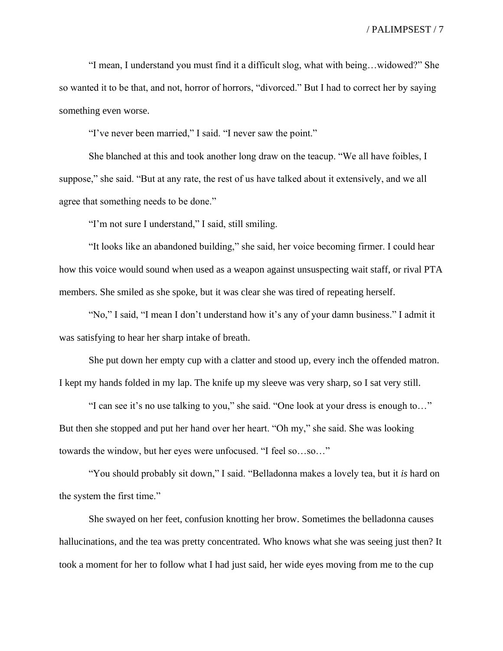"I mean, I understand you must find it a difficult slog, what with being…widowed?" She so wanted it to be that, and not, horror of horrors, "divorced." But I had to correct her by saying something even worse.

"I've never been married," I said. "I never saw the point."

She blanched at this and took another long draw on the teacup. "We all have foibles, I suppose," she said. "But at any rate, the rest of us have talked about it extensively, and we all agree that something needs to be done."

"I'm not sure I understand," I said, still smiling.

"It looks like an abandoned building," she said, her voice becoming firmer. I could hear how this voice would sound when used as a weapon against unsuspecting wait staff, or rival PTA members. She smiled as she spoke, but it was clear she was tired of repeating herself.

"No," I said, "I mean I don't understand how it's any of your damn business." I admit it was satisfying to hear her sharp intake of breath.

She put down her empty cup with a clatter and stood up, every inch the offended matron. I kept my hands folded in my lap. The knife up my sleeve was very sharp, so I sat very still.

"I can see it's no use talking to you," she said. "One look at your dress is enough to…" But then she stopped and put her hand over her heart. "Oh my," she said. She was looking towards the window, but her eyes were unfocused. "I feel so…so…"

"You should probably sit down," I said. "Belladonna makes a lovely tea, but it *is* hard on the system the first time."

She swayed on her feet, confusion knotting her brow. Sometimes the belladonna causes hallucinations, and the tea was pretty concentrated. Who knows what she was seeing just then? It took a moment for her to follow what I had just said, her wide eyes moving from me to the cup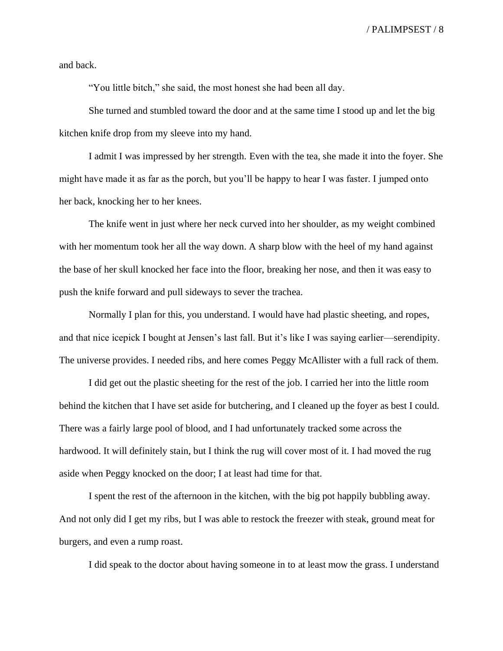and back.

"You little bitch," she said, the most honest she had been all day.

She turned and stumbled toward the door and at the same time I stood up and let the big kitchen knife drop from my sleeve into my hand.

I admit I was impressed by her strength. Even with the tea, she made it into the foyer. She might have made it as far as the porch, but you'll be happy to hear I was faster. I jumped onto her back, knocking her to her knees.

The knife went in just where her neck curved into her shoulder, as my weight combined with her momentum took her all the way down. A sharp blow with the heel of my hand against the base of her skull knocked her face into the floor, breaking her nose, and then it was easy to push the knife forward and pull sideways to sever the trachea.

Normally I plan for this, you understand. I would have had plastic sheeting, and ropes, and that nice icepick I bought at Jensen's last fall. But it's like I was saying earlier—serendipity. The universe provides. I needed ribs, and here comes Peggy McAllister with a full rack of them.

I did get out the plastic sheeting for the rest of the job. I carried her into the little room behind the kitchen that I have set aside for butchering, and I cleaned up the foyer as best I could. There was a fairly large pool of blood, and I had unfortunately tracked some across the hardwood. It will definitely stain, but I think the rug will cover most of it. I had moved the rug aside when Peggy knocked on the door; I at least had time for that.

I spent the rest of the afternoon in the kitchen, with the big pot happily bubbling away. And not only did I get my ribs, but I was able to restock the freezer with steak, ground meat for burgers, and even a rump roast.

I did speak to the doctor about having someone in to at least mow the grass. I understand